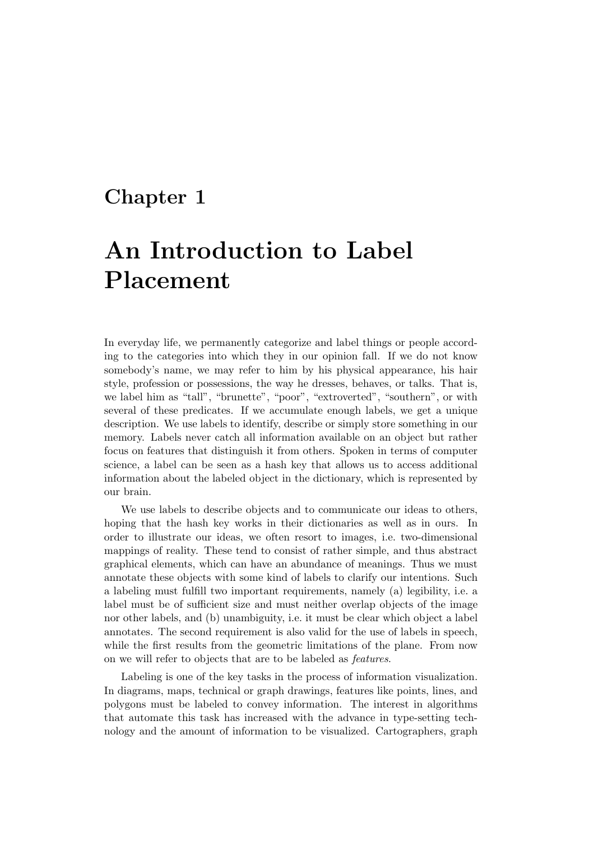# Chapter 1

# An Introduction to Label Placement

In everyday life, we permanently categorize and label things or people according to the categories into which they in our opinion fall. If we do not know somebody's name, we may refer to him by his physical appearance, his hair style, profession or possessions, the way he dresses, behaves, or talks. That is, we label him as "tall", "brunette", "poor", "extroverted", "southern", or with several of these predicates. If we accumulate enough labels, we get a unique description. We use labels to identify, describe or simply store something in our memory. Labels never catch all information available on an object but rather focus on features that distinguish it from others. Spoken in terms of computer science, a label can be seen as a hash key that allows us to access additional information about the labeled object in the dictionary, which is represented by our brain.

We use labels to describe objects and to communicate our ideas to others, hoping that the hash key works in their dictionaries as well as in ours. In order to illustrate our ideas, we often resort to images, i.e. two-dimensional mappings of reality. These tend to consist of rather simple, and thus abstract graphical elements, which can have an abundance of meanings. Thus we must annotate these objects with some kind of labels to clarify our intentions. Such a labeling must fulfill two important requirements, namely (a) legibility, i.e. a label must be of sufficient size and must neither overlap objects of the image nor other labels, and (b) unambiguity, i.e. it must be clear which object a label annotates. The second requirement is also valid for the use of labels in speech, while the first results from the geometric limitations of the plane. From now on we will refer to objects that are to be labeled as features.

Labeling is one of the key tasks in the process of information visualization. In diagrams, maps, technical or graph drawings, features like points, lines, and polygons must be labeled to convey information. The interest in algorithms that automate this task has increased with the advance in type-setting technology and the amount of information to be visualized. Cartographers, graph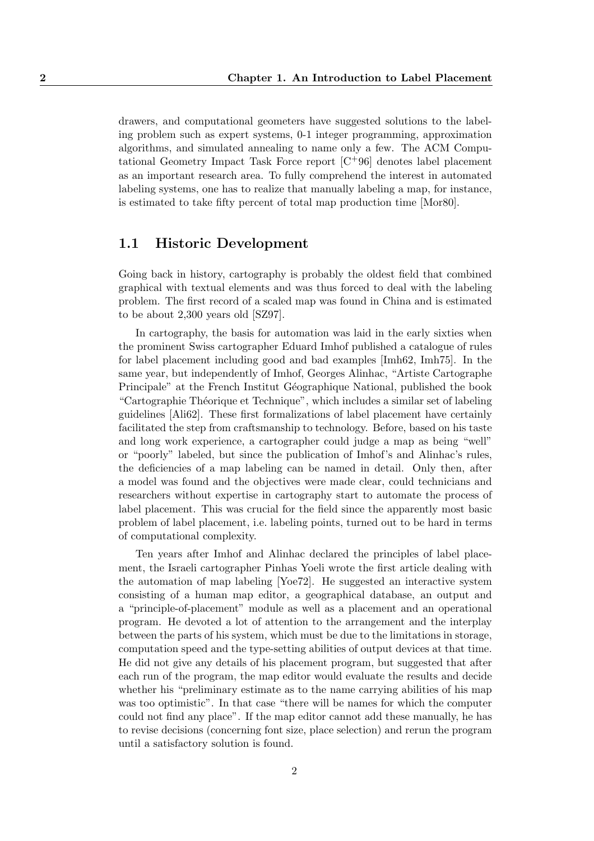drawers, and computational geometers have suggested solutions to the labeling problem such as expert systems, 0-1 integer programming, approximation algorithms, and simulated annealing to name only a few. The ACM Computational Geometry Impact Task Force report  $\lbrack C^{+}96\rbrack$  denotes label placement as an important research area. To fully comprehend the interest in automated labeling systems, one has to realize that manually labeling a map, for instance, is estimated to take fifty percent of total map production time [Mor80].

### 1.1 Historic Development

Going back in history, cartography is probably the oldest field that combined graphical with textual elements and was thus forced to deal with the labeling problem. The first record of a scaled map was found in China and is estimated to be about 2,300 years old [SZ97].

In cartography, the basis for automation was laid in the early sixties when the prominent Swiss cartographer Eduard Imhof published a catalogue of rules for label placement including good and bad examples [Imh62, Imh75]. In the same year, but independently of Imhof, Georges Alinhac, "Artiste Cartographe Principale" at the French Institut Géographique National, published the book "Cartographie Théorique et Technique", which includes a similar set of labeling guidelines [Ali62]. These first formalizations of label placement have certainly facilitated the step from craftsmanship to technology. Before, based on his taste and long work experience, a cartographer could judge a map as being "well" or "poorly" labeled, but since the publication of Imhof's and Alinhac's rules, the deficiencies of a map labeling can be named in detail. Only then, after a model was found and the objectives were made clear, could technicians and researchers without expertise in cartography start to automate the process of label placement. This was crucial for the field since the apparently most basic problem of label placement, i.e. labeling points, turned out to be hard in terms of computational complexity.

Ten years after Imhof and Alinhac declared the principles of label placement, the Israeli cartographer Pinhas Yoeli wrote the first article dealing with the automation of map labeling [Yoe72]. He suggested an interactive system consisting of a human map editor, a geographical database, an output and a "principle-of-placement" module as well as a placement and an operational program. He devoted a lot of attention to the arrangement and the interplay between the parts of his system, which must be due to the limitations in storage, computation speed and the type-setting abilities of output devices at that time. He did not give any details of his placement program, but suggested that after each run of the program, the map editor would evaluate the results and decide whether his "preliminary estimate as to the name carrying abilities of his map was too optimistic". In that case "there will be names for which the computer could not find any place". If the map editor cannot add these manually, he has to revise decisions (concerning font size, place selection) and rerun the program until a satisfactory solution is found.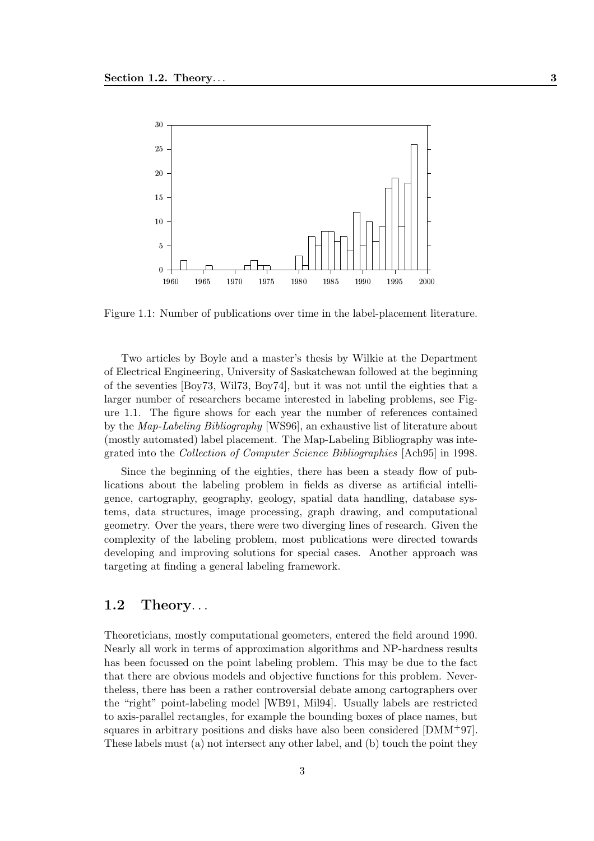

Figure 1.1: Number of publications over time in the label-placement literature.

Two articles by Boyle and a master's thesis by Wilkie at the Department of Electrical Engineering, University of Saskatchewan followed at the beginning of the seventies [Boy73, Wil73, Boy74], but it was not until the eighties that a larger number of researchers became interested in labeling problems, see Figure 1.1. The figure shows for each year the number of references contained by the Map-Labeling Bibliography [WS96], an exhaustive list of literature about (mostly automated) label placement. The Map-Labeling Bibliography was integrated into the Collection of Computer Science Bibliographies [Ach95] in 1998.

Since the beginning of the eighties, there has been a steady flow of publications about the labeling problem in fields as diverse as artificial intelligence, cartography, geography, geology, spatial data handling, database systems, data structures, image processing, graph drawing, and computational geometry. Over the years, there were two diverging lines of research. Given the complexity of the labeling problem, most publications were directed towards developing and improving solutions for special cases. Another approach was targeting at finding a general labeling framework.

# 1.2 Theory. . .

Theoreticians, mostly computational geometers, entered the field around 1990. Nearly all work in terms of approximation algorithms and NP-hardness results has been focussed on the point labeling problem. This may be due to the fact that there are obvious models and objective functions for this problem. Nevertheless, there has been a rather controversial debate among cartographers over the "right" point-labeling model [WB91, Mil94]. Usually labels are restricted to axis-parallel rectangles, for example the bounding boxes of place names, but squares in arbitrary positions and disks have also been considered [DMM+97]. These labels must (a) not intersect any other label, and (b) touch the point they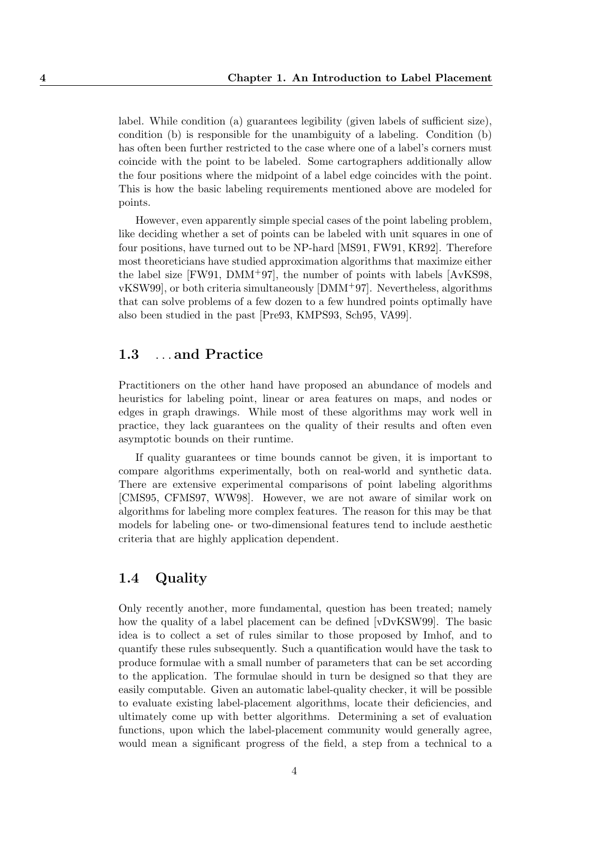label. While condition (a) guarantees legibility (given labels of sufficient size), condition (b) is responsible for the unambiguity of a labeling. Condition (b) has often been further restricted to the case where one of a label's corners must coincide with the point to be labeled. Some cartographers additionally allow the four positions where the midpoint of a label edge coincides with the point. This is how the basic labeling requirements mentioned above are modeled for points.

However, even apparently simple special cases of the point labeling problem, like deciding whether a set of points can be labeled with unit squares in one of four positions, have turned out to be NP-hard [MS91, FW91, KR92]. Therefore most theoreticians have studied approximation algorithms that maximize either the label size [FW91, DMM+97], the number of points with labels [AvKS98, vKSW99], or both criteria simultaneously [DMM+97]. Nevertheless, algorithms that can solve problems of a few dozen to a few hundred points optimally have also been studied in the past [Pre93, KMPS93, Sch95, VA99].

# 1.3 ...and Practice

Practitioners on the other hand have proposed an abundance of models and heuristics for labeling point, linear or area features on maps, and nodes or edges in graph drawings. While most of these algorithms may work well in practice, they lack guarantees on the quality of their results and often even asymptotic bounds on their runtime.

If quality guarantees or time bounds cannot be given, it is important to compare algorithms experimentally, both on real-world and synthetic data. There are extensive experimental comparisons of point labeling algorithms [CMS95, CFMS97, WW98]. However, we are not aware of similar work on algorithms for labeling more complex features. The reason for this may be that models for labeling one- or two-dimensional features tend to include aesthetic criteria that are highly application dependent.

# 1.4 Quality

Only recently another, more fundamental, question has been treated; namely how the quality of a label placement can be defined [vDvKSW99]. The basic idea is to collect a set of rules similar to those proposed by Imhof, and to quantify these rules subsequently. Such a quantification would have the task to produce formulae with a small number of parameters that can be set according to the application. The formulae should in turn be designed so that they are easily computable. Given an automatic label-quality checker, it will be possible to evaluate existing label-placement algorithms, locate their deficiencies, and ultimately come up with better algorithms. Determining a set of evaluation functions, upon which the label-placement community would generally agree, would mean a significant progress of the field, a step from a technical to a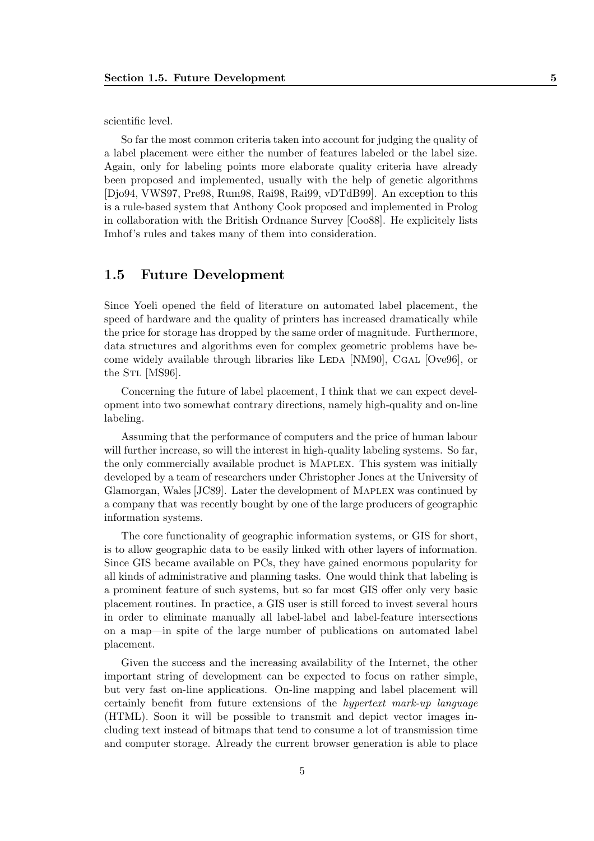scientific level.

So far the most common criteria taken into account for judging the quality of a label placement were either the number of features labeled or the label size. Again, only for labeling points more elaborate quality criteria have already been proposed and implemented, usually with the help of genetic algorithms [Djo94, VWS97, Pre98, Rum98, Rai98, Rai99, vDTdB99]. An exception to this is a rule-based system that Anthony Cook proposed and implemented in Prolog in collaboration with the British Ordnance Survey [Coo88]. He explicitely lists Imhof's rules and takes many of them into consideration.

# 1.5 Future Development

Since Yoeli opened the field of literature on automated label placement, the speed of hardware and the quality of printers has increased dramatically while the price for storage has dropped by the same order of magnitude. Furthermore, data structures and algorithms even for complex geometric problems have become widely available through libraries like LEDA [NM90], CGAL [Ove96], or the S<sub>TL</sub> [MS96].

Concerning the future of label placement, I think that we can expect development into two somewhat contrary directions, namely high-quality and on-line labeling.

Assuming that the performance of computers and the price of human labour will further increase, so will the interest in high-quality labeling systems. So far, the only commercially available product is Maplex. This system was initially developed by a team of researchers under Christopher Jones at the University of Glamorgan, Wales [JC89]. Later the development of Maplex was continued by a company that was recently bought by one of the large producers of geographic information systems.

The core functionality of geographic information systems, or GIS for short, is to allow geographic data to be easily linked with other layers of information. Since GIS became available on PCs, they have gained enormous popularity for all kinds of administrative and planning tasks. One would think that labeling is a prominent feature of such systems, but so far most GIS offer only very basic placement routines. In practice, a GIS user is still forced to invest several hours in order to eliminate manually all label-label and label-feature intersections on a map—in spite of the large number of publications on automated label placement.

Given the success and the increasing availability of the Internet, the other important string of development can be expected to focus on rather simple, but very fast on-line applications. On-line mapping and label placement will certainly benefit from future extensions of the hypertext mark-up language (HTML). Soon it will be possible to transmit and depict vector images including text instead of bitmaps that tend to consume a lot of transmission time and computer storage. Already the current browser generation is able to place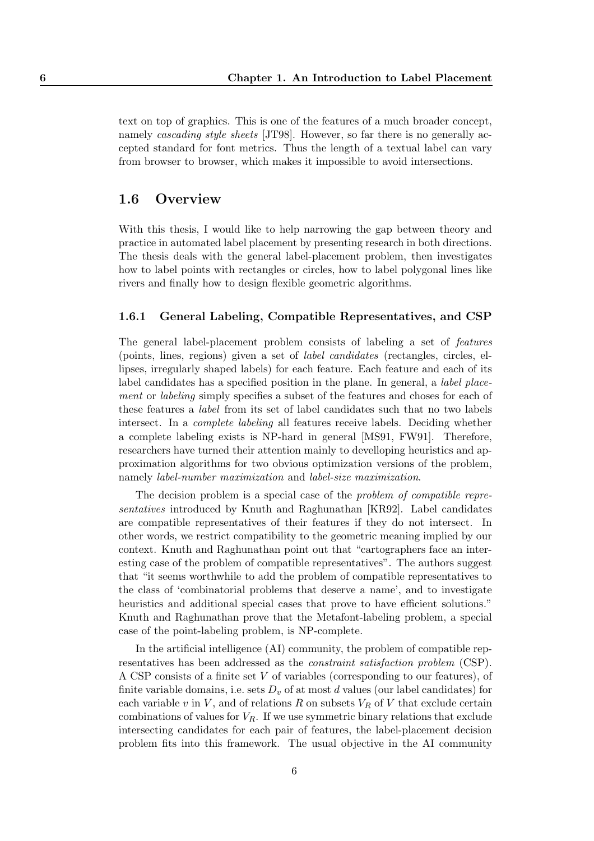text on top of graphics. This is one of the features of a much broader concept, namely *cascading style sheets* [JT98]. However, so far there is no generally accepted standard for font metrics. Thus the length of a textual label can vary from browser to browser, which makes it impossible to avoid intersections.

### 1.6 Overview

With this thesis, I would like to help narrowing the gap between theory and practice in automated label placement by presenting research in both directions. The thesis deals with the general label-placement problem, then investigates how to label points with rectangles or circles, how to label polygonal lines like rivers and finally how to design flexible geometric algorithms.

#### 1.6.1 General Labeling, Compatible Representatives, and CSP

The general label-placement problem consists of labeling a set of features (points, lines, regions) given a set of label candidates (rectangles, circles, ellipses, irregularly shaped labels) for each feature. Each feature and each of its label candidates has a specified position in the plane. In general, a label placement or labeling simply specifies a subset of the features and choses for each of these features a label from its set of label candidates such that no two labels intersect. In a complete labeling all features receive labels. Deciding whether a complete labeling exists is NP-hard in general [MS91, FW91]. Therefore, researchers have turned their attention mainly to develloping heuristics and approximation algorithms for two obvious optimization versions of the problem, namely label-number maximization and label-size maximization.

The decision problem is a special case of the problem of compatible representatives introduced by Knuth and Raghunathan [KR92]. Label candidates are compatible representatives of their features if they do not intersect. In other words, we restrict compatibility to the geometric meaning implied by our context. Knuth and Raghunathan point out that "cartographers face an interesting case of the problem of compatible representatives". The authors suggest that "it seems worthwhile to add the problem of compatible representatives to the class of 'combinatorial problems that deserve a name', and to investigate heuristics and additional special cases that prove to have efficient solutions." Knuth and Raghunathan prove that the Metafont-labeling problem, a special case of the point-labeling problem, is NP-complete.

In the artificial intelligence (AI) community, the problem of compatible representatives has been addressed as the constraint satisfaction problem (CSP). A CSP consists of a finite set V of variables (corresponding to our features), of finite variable domains, i.e. sets  $D_v$  of at most d values (our label candidates) for each variable v in  $V$ , and of relations  $R$  on subsets  $V_R$  of  $V$  that exclude certain combinations of values for  $V_R$ . If we use symmetric binary relations that exclude intersecting candidates for each pair of features, the label-placement decision problem fits into this framework. The usual objective in the AI community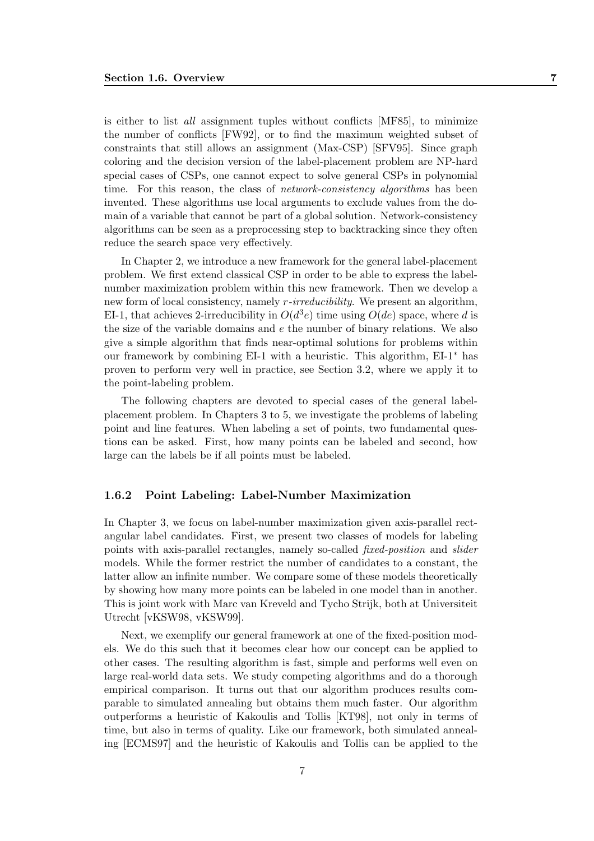is either to list all assignment tuples without conflicts [MF85], to minimize the number of conflicts [FW92], or to find the maximum weighted subset of constraints that still allows an assignment (Max-CSP) [SFV95]. Since graph coloring and the decision version of the label-placement problem are NP-hard special cases of CSPs, one cannot expect to solve general CSPs in polynomial time. For this reason, the class of *network-consistency algorithms* has been invented. These algorithms use local arguments to exclude values from the domain of a variable that cannot be part of a global solution. Network-consistency algorithms can be seen as a preprocessing step to backtracking since they often reduce the search space very effectively.

In Chapter 2, we introduce a new framework for the general label-placement problem. We first extend classical CSP in order to be able to express the labelnumber maximization problem within this new framework. Then we develop a new form of local consistency, namely r-irreducibility. We present an algorithm, EI-1, that achieves 2-irreducibility in  $O(d^3e)$  time using  $O(de)$  space, where d is the size of the variable domains and  $e$  the number of binary relations. We also give a simple algorithm that finds near-optimal solutions for problems within our framework by combining EI-1 with a heuristic. This algorithm, EI-1∗ has proven to perform very well in practice, see Section 3.2, where we apply it to the point-labeling problem.

The following chapters are devoted to special cases of the general labelplacement problem. In Chapters 3 to 5, we investigate the problems of labeling point and line features. When labeling a set of points, two fundamental questions can be asked. First, how many points can be labeled and second, how large can the labels be if all points must be labeled.

#### 1.6.2 Point Labeling: Label-Number Maximization

In Chapter 3, we focus on label-number maximization given axis-parallel rectangular label candidates. First, we present two classes of models for labeling points with axis-parallel rectangles, namely so-called fixed-position and slider models. While the former restrict the number of candidates to a constant, the latter allow an infinite number. We compare some of these models theoretically by showing how many more points can be labeled in one model than in another. This is joint work with Marc van Kreveld and Tycho Strijk, both at Universiteit Utrecht [vKSW98, vKSW99].

Next, we exemplify our general framework at one of the fixed-position models. We do this such that it becomes clear how our concept can be applied to other cases. The resulting algorithm is fast, simple and performs well even on large real-world data sets. We study competing algorithms and do a thorough empirical comparison. It turns out that our algorithm produces results comparable to simulated annealing but obtains them much faster. Our algorithm outperforms a heuristic of Kakoulis and Tollis [KT98], not only in terms of time, but also in terms of quality. Like our framework, both simulated annealing [ECMS97] and the heuristic of Kakoulis and Tollis can be applied to the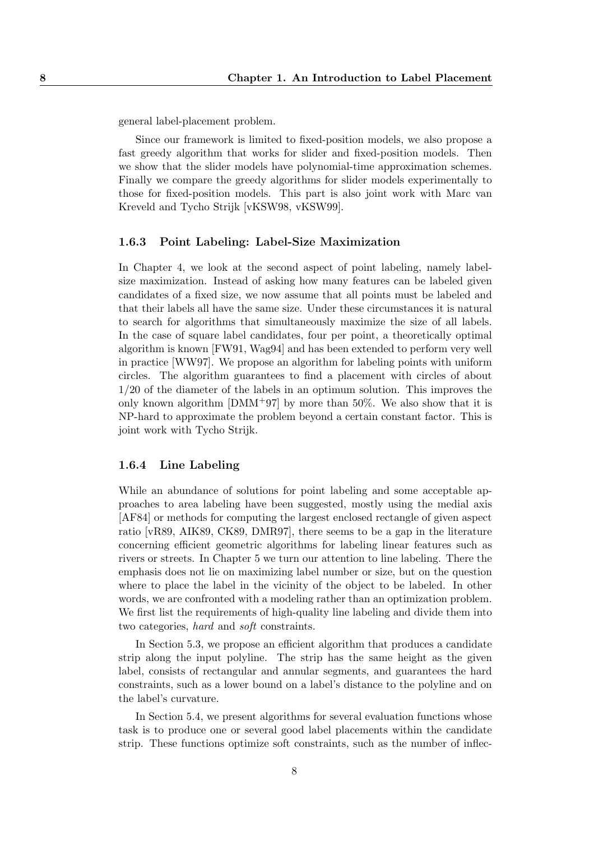general label-placement problem.

Since our framework is limited to fixed-position models, we also propose a fast greedy algorithm that works for slider and fixed-position models. Then we show that the slider models have polynomial-time approximation schemes. Finally we compare the greedy algorithms for slider models experimentally to those for fixed-position models. This part is also joint work with Marc van Kreveld and Tycho Strijk [vKSW98, vKSW99].

#### 1.6.3 Point Labeling: Label-Size Maximization

In Chapter 4, we look at the second aspect of point labeling, namely labelsize maximization. Instead of asking how many features can be labeled given candidates of a fixed size, we now assume that all points must be labeled and that their labels all have the same size. Under these circumstances it is natural to search for algorithms that simultaneously maximize the size of all labels. In the case of square label candidates, four per point, a theoretically optimal algorithm is known [FW91, Wag94] and has been extended to perform very well in practice [WW97]. We propose an algorithm for labeling points with uniform circles. The algorithm guarantees to find a placement with circles of about 1/20 of the diameter of the labels in an optimum solution. This improves the only known algorithm  $[DMM+97]$  by more than 50%. We also show that it is NP-hard to approximate the problem beyond a certain constant factor. This is joint work with Tycho Strijk.

#### 1.6.4 Line Labeling

While an abundance of solutions for point labeling and some acceptable approaches to area labeling have been suggested, mostly using the medial axis [AF84] or methods for computing the largest enclosed rectangle of given aspect ratio [vR89, AIK89, CK89, DMR97], there seems to be a gap in the literature concerning efficient geometric algorithms for labeling linear features such as rivers or streets. In Chapter 5 we turn our attention to line labeling. There the emphasis does not lie on maximizing label number or size, but on the question where to place the label in the vicinity of the object to be labeled. In other words, we are confronted with a modeling rather than an optimization problem. We first list the requirements of high-quality line labeling and divide them into two categories, hard and soft constraints.

In Section 5.3, we propose an efficient algorithm that produces a candidate strip along the input polyline. The strip has the same height as the given label, consists of rectangular and annular segments, and guarantees the hard constraints, such as a lower bound on a label's distance to the polyline and on the label's curvature.

In Section 5.4, we present algorithms for several evaluation functions whose task is to produce one or several good label placements within the candidate strip. These functions optimize soft constraints, such as the number of inflec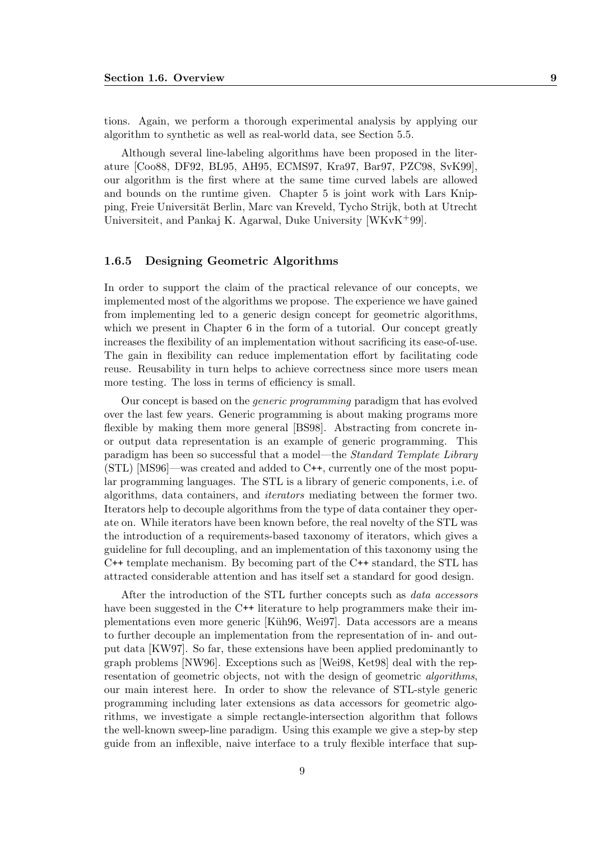tions. Again, we perform a thorough experimental analysis by applying our algorithm to synthetic as well as real-world data, see Section 5.5.

Although several line-labeling algorithms have been proposed in the literature [Coo88, DF92, BL95, AH95, ECMS97, Kra97, Bar97, PZC98, SvK99], our algorithm is the first where at the same time curved labels are allowed and bounds on the runtime given. Chapter 5 is joint work with Lars Knipping, Freie Universität Berlin, Marc van Kreveld, Tycho Strijk, both at Utrecht Universiteit, and Pankaj K. Agarwal, Duke University [WKvK+99].

#### 1.6.5 Designing Geometric Algorithms

In order to support the claim of the practical relevance of our concepts, we implemented most of the algorithms we propose. The experience we have gained from implementing led to a generic design concept for geometric algorithms, which we present in Chapter 6 in the form of a tutorial. Our concept greatly increases the flexibility of an implementation without sacrificing its ease-of-use. The gain in flexibility can reduce implementation effort by facilitating code reuse. Reusability in turn helps to achieve correctness since more users mean more testing. The loss in terms of efficiency is small.

Our concept is based on the generic programming paradigm that has evolved over the last few years. Generic programming is about making programs more flexible by making them more general [BS98]. Abstracting from concrete inor output data representation is an example of generic programming. This paradigm has been so successful that a model—the Standard Template Library (STL) [MS96]—was created and added to C++, currently one of the most popular programming languages. The STL is a library of generic components, i.e. of algorithms, data containers, and iterators mediating between the former two. Iterators help to decouple algorithms from the type of data container they operate on. While iterators have been known before, the real novelty of the STL was the introduction of a requirements-based taxonomy of iterators, which gives a guideline for full decoupling, and an implementation of this taxonomy using the C++ template mechanism. By becoming part of the C++ standard, the STL has attracted considerable attention and has itself set a standard for good design.

After the introduction of the STL further concepts such as data accessors have been suggested in the C<sup>++</sup> literature to help programmers make their implementations even more generic [Küh96, Wei97]. Data accessors are a means to further decouple an implementation from the representation of in- and output data [KW97]. So far, these extensions have been applied predominantly to graph problems [NW96]. Exceptions such as [Wei98, Ket98] deal with the representation of geometric objects, not with the design of geometric algorithms, our main interest here. In order to show the relevance of STL-style generic programming including later extensions as data accessors for geometric algorithms, we investigate a simple rectangle-intersection algorithm that follows the well-known sweep-line paradigm. Using this example we give a step-by step guide from an inflexible, naive interface to a truly flexible interface that sup-